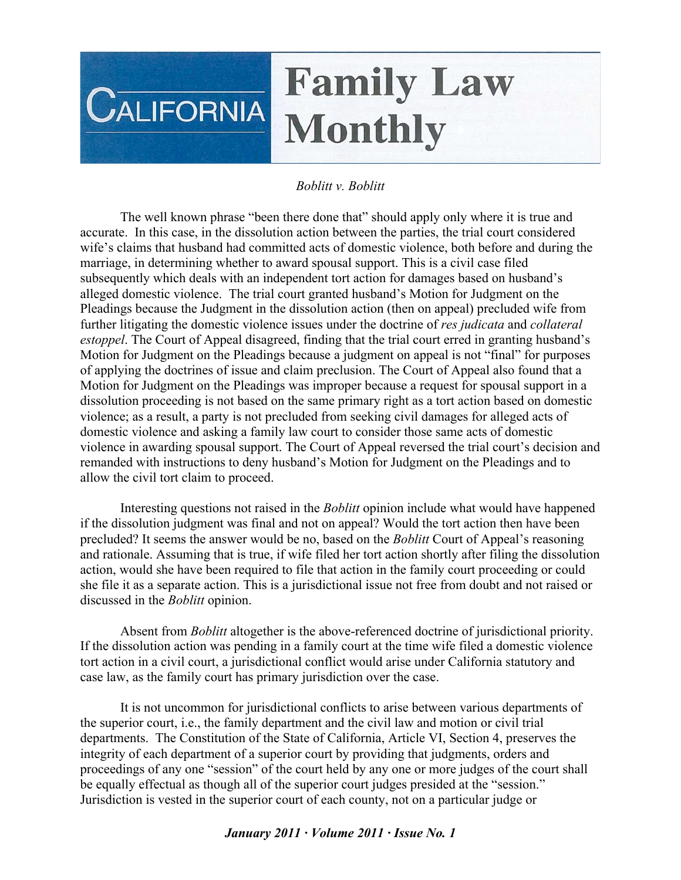## **Family Law CALIFORNIA Monthly**

## *Boblitt v. Boblitt*

The well known phrase "been there done that" should apply only where it is true and accurate. In this case, in the dissolution action between the parties, the trial court considered wife's claims that husband had committed acts of domestic violence, both before and during the marriage, in determining whether to award spousal support. This is a civil case filed subsequently which deals with an independent tort action for damages based on husband's alleged domestic violence. The trial court granted husband's Motion for Judgment on the Pleadings because the Judgment in the dissolution action (then on appeal) precluded wife from further litigating the domestic violence issues under the doctrine of *res judicata* and *collateral estoppel*. The Court of Appeal disagreed, finding that the trial court erred in granting husband's Motion for Judgment on the Pleadings because a judgment on appeal is not "final" for purposes of applying the doctrines of issue and claim preclusion. The Court of Appeal also found that a Motion for Judgment on the Pleadings was improper because a request for spousal support in a dissolution proceeding is not based on the same primary right as a tort action based on domestic violence; as a result, a party is not precluded from seeking civil damages for alleged acts of domestic violence and asking a family law court to consider those same acts of domestic violence in awarding spousal support. The Court of Appeal reversed the trial court's decision and remanded with instructions to deny husband's Motion for Judgment on the Pleadings and to allow the civil tort claim to proceed.

Interesting questions not raised in the *Boblitt* opinion include what would have happened if the dissolution judgment was final and not on appeal? Would the tort action then have been precluded? It seems the answer would be no, based on the *Boblitt* Court of Appeal's reasoning and rationale. Assuming that is true, if wife filed her tort action shortly after filing the dissolution action, would she have been required to file that action in the family court proceeding or could she file it as a separate action. This is a jurisdictional issue not free from doubt and not raised or discussed in the *Boblitt* opinion.

Absent from *Boblitt* altogether is the above-referenced doctrine of jurisdictional priority. If the dissolution action was pending in a family court at the time wife filed a domestic violence tort action in a civil court, a jurisdictional conflict would arise under California statutory and case law, as the family court has primary jurisdiction over the case.

It is not uncommon for jurisdictional conflicts to arise between various departments of the superior court, i.e., the family department and the civil law and motion or civil trial departments. The Constitution of the State of California, Article VI, Section 4, preserves the integrity of each department of a superior court by providing that judgments, orders and proceedings of any one "session" of the court held by any one or more judges of the court shall be equally effectual as though all of the superior court judges presided at the "session." Jurisdiction is vested in the superior court of each county, not on a particular judge or

## *January 2011 · Volume 2011 · Issue No. 1*